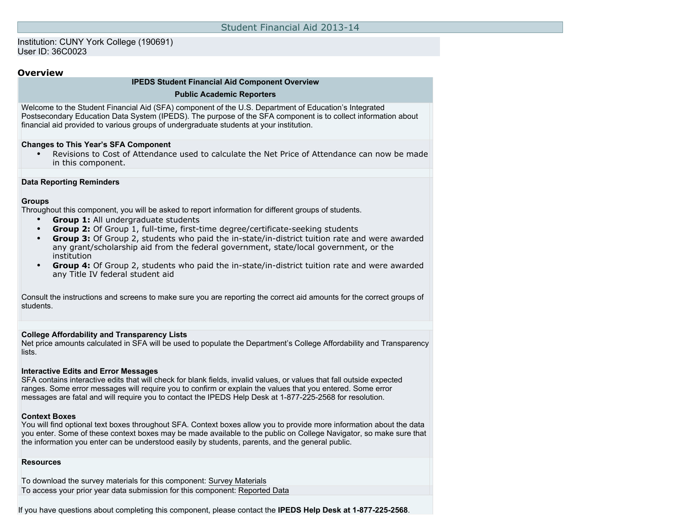### Institution: CUNY York College (190691) User ID: 36C0023

### **Overview**

### **IPEDS Student Financial Aid Component Overview**

#### **Public Academic Reporters**

Welcome to the Student Financial Aid (SFA) component of the U.S. Department of Education's Integrated Postsecondary Education Data System (IPEDS). The purpose of the SFA component is to collect information about financial aid provided to various groups of undergraduate students at your institution.

### **Changes to This Year's SFA Component**

• Revisions to Cost of Attendance used to calculate the Net Price of Attendance can now be made in this component.

### **Data Reporting Reminders**

### **Groups**

Throughout this component, you will be asked to report information for different groups of students.

- **Group 1:** All undergraduate students
- **Group 2:** Of Group 1, full-time, first-time degree/certificate-seeking students
- **Group 3:** Of Group 2, students who paid the in-state/in-district tuition rate and were awarded any grant/scholarship aid from the federal government, state/local government, or the institution
- **Group 4:** Of Group 2, students who paid the in-state/in-district tuition rate and were awarded any Title IV federal student aid

Consult the instructions and screens to make sure you are reporting the correct aid amounts for the correct groups of students.

### **College Affordability and Transparency Lists**

Net price amounts calculated in SFA will be used to populate the Department's College Affordability and Transparency lists.

#### **Interactive Edits and Error Messages**

SFA contains interactive edits that will check for blank fields, invalid values, or values that fall outside expected ranges. Some error messages will require you to confirm or explain the values that you entered. Some error messages are fatal and will require you to contact the IPEDS Help Desk at 1-877-225-2568 for resolution.

#### **Context Boxes**

You will find optional text boxes throughout SFA. Context boxes allow you to provide more information about the data you enter. Some of these context boxes may be made available to the public on College Navigator, so make sure that the information you enter can be understood easily by students, parents, and the general public.

### **Resources**

To download the survey materials for this component: [Survey Materials](https://surveys.nces.ed.gov/ipeds/VisIndex.aspx) To access your prior year data submission for this component: [Reported Data](https://surveys.nces.ed.gov/IPEDS/PriorYearDataRedirect.aspx?survey_id=7)

If you have questions about completing this component, please contact the **IPEDS Help Desk at 1-877-225-2568**.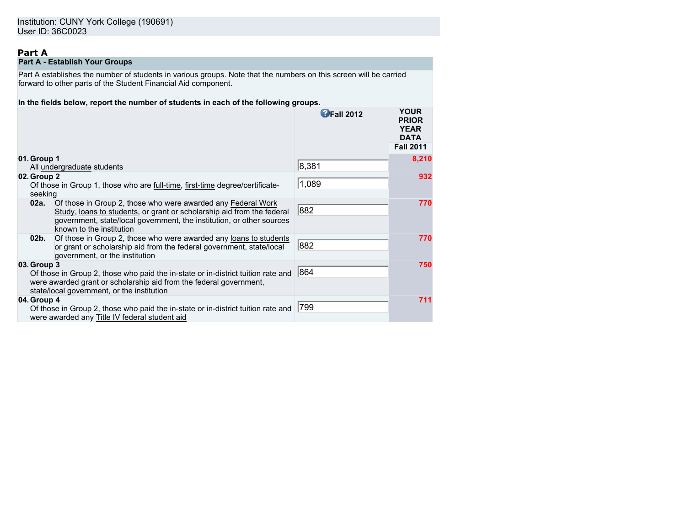# **Part A**

# **Part A - Establish Your Groups**

Part A establishes the number of students in various groups. Note that the numbers on this screen will be carried forward to other parts of the Student Financial Aid component.

### **In the fields below, report the number of students in each of the following groups.**

|                        |                                                                                                                                                                                                                                             | <b>OFall 2012</b> | <b>YOUR</b><br><b>PRIOR</b><br><b>YEAR</b><br><b>DATA</b> |
|------------------------|---------------------------------------------------------------------------------------------------------------------------------------------------------------------------------------------------------------------------------------------|-------------------|-----------------------------------------------------------|
|                        |                                                                                                                                                                                                                                             |                   | <b>Fall 2011</b>                                          |
| 01. Group 1            | All undergraduate students                                                                                                                                                                                                                  | 8,381             | 8,210                                                     |
| 02. Group 2<br>seeking | Of those in Group 1, those who are full-time, first-time degree/certificate-                                                                                                                                                                | 1,089             | 932                                                       |
| 02a.                   | Of those in Group 2, those who were awarded any Federal Work<br>Study, loans to students, or grant or scholarship aid from the federal<br>government, state/local government, the institution, or other sources<br>known to the institution | 882               | 770                                                       |
| 02b.                   | Of those in Group 2, those who were awarded any loans to students<br>or grant or scholarship aid from the federal government, state/local<br>government, or the institution                                                                 | 882               | 770                                                       |
| 03. Group 3            | Of those in Group 2, those who paid the in-state or in-district tuition rate and<br>were awarded grant or scholarship aid from the federal government,<br>state/local government, or the institution                                        | 1864              | 750                                                       |
| 04. Group 4            | Of those in Group 2, those who paid the in-state or in-district tuition rate and<br>were awarded any Title IV federal student aid                                                                                                           | 799               | 711                                                       |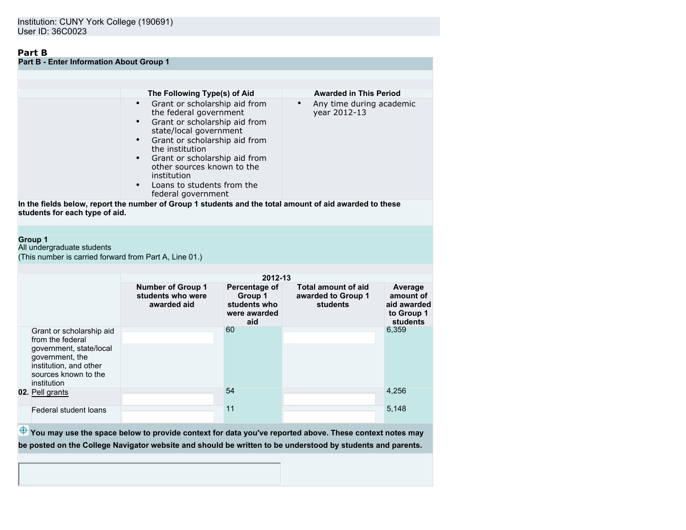# **Part B**

| <b>Part B - Enter Information About Group 1</b> |                                                                                                                                                                                                                                                                                                          |                                          |  |  |  |
|-------------------------------------------------|----------------------------------------------------------------------------------------------------------------------------------------------------------------------------------------------------------------------------------------------------------------------------------------------------------|------------------------------------------|--|--|--|
|                                                 |                                                                                                                                                                                                                                                                                                          |                                          |  |  |  |
|                                                 |                                                                                                                                                                                                                                                                                                          |                                          |  |  |  |
|                                                 | The Following Type(s) of Aid                                                                                                                                                                                                                                                                             | <b>Awarded in This Period</b>            |  |  |  |
|                                                 | Grant or scholarship aid from<br>the federal government<br>Grant or scholarship aid from<br>state/local government<br>Grant or scholarship aid from<br>the institution<br>Grant or scholarship aid from<br>other sources known to the<br>institution<br>Loans to students from the<br>federal government | Any time during academic<br>year 2012-13 |  |  |  |
|                                                 | In the fields holess report the number of Croun 1 students and the total amount of aid awarded to these                                                                                                                                                                                                  |                                          |  |  |  |

**In the fields below, report the number of Group 1 students and the total amount of aid awarded to these students for each type of aid.**

### **Group 1**

All undergraduate students

(This number is carried forward from Part A, Line 01.)

|                                                                                                                                                             |                                                              | 2012-13                                                         |                                                       |                                                               |
|-------------------------------------------------------------------------------------------------------------------------------------------------------------|--------------------------------------------------------------|-----------------------------------------------------------------|-------------------------------------------------------|---------------------------------------------------------------|
|                                                                                                                                                             | <b>Number of Group 1</b><br>students who were<br>awarded aid | Percentage of<br>Group 1<br>students who<br>were awarded<br>aid | Total amount of aid<br>awarded to Group 1<br>students | Average<br>amount of<br>aid awarded<br>to Group 1<br>students |
| Grant or scholarship aid<br>from the federal<br>government, state/local<br>government, the<br>institution, and other<br>sources known to the<br>institution |                                                              | 60                                                              |                                                       | 6,359                                                         |
| 02. Pell grants                                                                                                                                             |                                                              | 54                                                              |                                                       | 4,256                                                         |
| Federal student loans                                                                                                                                       |                                                              | 11                                                              |                                                       | 5,148                                                         |

 $\bigoplus$  You may use the space below to provide context for data you've reported above. These context notes may **be posted on the College Navigator website and should be written to be understood by students and parents.**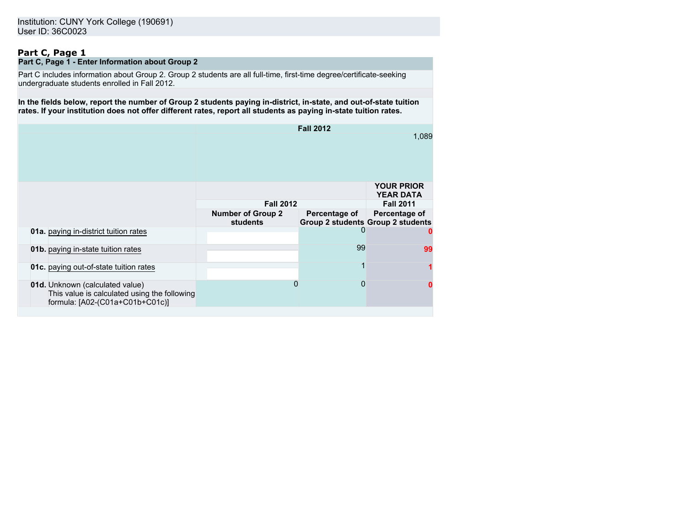### **Part C, Page 1 Part C, Page 1 - Enter Information about Group 2**

Part C includes information about Group 2. Group 2 students are all full-time, first-time degree/certificate-seeking undergraduate students enrolled in Fall 2012.

**In the fields below, report the number of Group 2 students paying in-district, in-state, and out-of-state tuition rates. If your institution does not offer different rates, report all students as paying in-state tuition rates.**

|                                                                                                                    |                                             | <b>Fall 2012</b>                                          | 1,089                                 |
|--------------------------------------------------------------------------------------------------------------------|---------------------------------------------|-----------------------------------------------------------|---------------------------------------|
|                                                                                                                    |                                             |                                                           | <b>YOUR PRIOR</b><br><b>YEAR DATA</b> |
|                                                                                                                    | <b>Fall 2012</b>                            |                                                           | <b>Fall 2011</b>                      |
|                                                                                                                    | <b>Number of Group 2</b><br><b>students</b> | Percentage of<br><b>Group 2 students Group 2 students</b> | Percentage of                         |
| 01a. paying in-district tuition rates                                                                              |                                             |                                                           |                                       |
| 01b. paying in-state tuition rates                                                                                 |                                             | 99                                                        | 99                                    |
| <b>01c.</b> paying out-of-state tuition rates                                                                      |                                             |                                                           |                                       |
| 01d. Unknown (calculated value)<br>This value is calculated using the following<br>formula: [A02-(C01a+C01b+C01c)] |                                             | 0                                                         |                                       |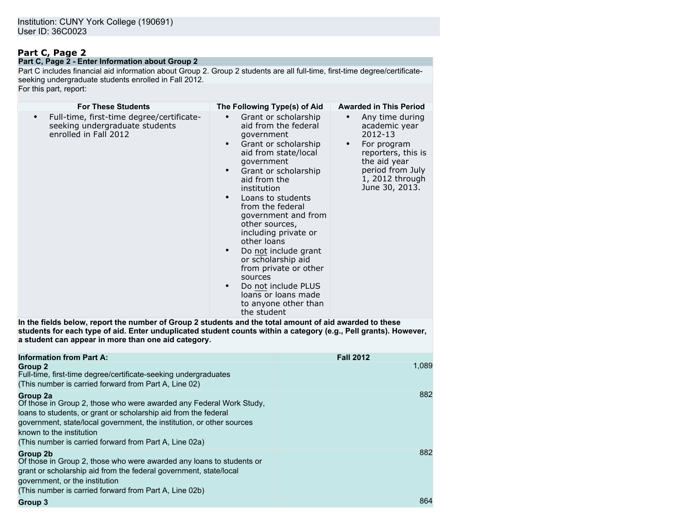# **Part C, Page 2**

#### **Part C, Page 2 - Enter Information about Group 2**

Part C includes financial aid information about Group 2. Group 2 students are all full-time, first-time degree/certificateseeking undergraduate students enrolled in Fall 2012. For this part, report:

| <b>For These Students</b>                                                                                                                                                                                                                                                          | The Following Type(s) of Aid                                                                                                                                                                                                                                                                                                                                                                                                                                                                                                                     | <b>Awarded in This Period</b>                                                                                                                                                           |
|------------------------------------------------------------------------------------------------------------------------------------------------------------------------------------------------------------------------------------------------------------------------------------|--------------------------------------------------------------------------------------------------------------------------------------------------------------------------------------------------------------------------------------------------------------------------------------------------------------------------------------------------------------------------------------------------------------------------------------------------------------------------------------------------------------------------------------------------|-----------------------------------------------------------------------------------------------------------------------------------------------------------------------------------------|
| Full-time, first-time degree/certificate-<br>seeking undergraduate students<br>enrolled in Fall 2012                                                                                                                                                                               | Grant or scholarship<br>aid from the federal<br>qovernment<br>Grant or scholarship<br>$\bullet$<br>aid from state/local<br>qovernment<br>Grant or scholarship<br>$\bullet$<br>aid from the<br>institution<br>Loans to students<br>$\bullet$<br>from the federal<br>government and from<br>other sources,<br>including private or<br>other loans<br>Do not include grant<br>$\bullet$<br>or scholarship aid<br>from private or other<br>sources<br>Do not include PLUS<br>$\bullet$<br>loans or loans made<br>to anyone other than<br>the student | Any time during<br>$\bullet$<br>academic year<br>$2012 - 13$<br>For program<br>$\bullet$<br>reporters, this is<br>the aid year<br>period from July<br>1, 2012 through<br>June 30, 2013. |
| In the fields below, report the number of Group 2 students and the total amount of aid awarded to these<br>students for each type of aid. Enter unduplicated student counts within a category (e.g., Pell grants). However,<br>a student can appear in more than one aid category. |                                                                                                                                                                                                                                                                                                                                                                                                                                                                                                                                                  |                                                                                                                                                                                         |
| <b>Information from Part A:</b>                                                                                                                                                                                                                                                    |                                                                                                                                                                                                                                                                                                                                                                                                                                                                                                                                                  | <b>Fall 2012</b>                                                                                                                                                                        |
| Group <sub>2</sub><br>Full-time, first-time degree/certificate-seeking undergraduates<br>(This number is carried forward from Part A, Line 02)                                                                                                                                     |                                                                                                                                                                                                                                                                                                                                                                                                                                                                                                                                                  | 1,089                                                                                                                                                                                   |
| Group 2a                                                                                                                                                                                                                                                                           |                                                                                                                                                                                                                                                                                                                                                                                                                                                                                                                                                  | 882                                                                                                                                                                                     |

| Of those in Group 2, those who were awarded any Federal Work Study,              |  |
|----------------------------------------------------------------------------------|--|
| loans to students, or grant or scholarship aid from the federal                  |  |
| government, state/local government, the institution, or other sources            |  |
| known to the institution                                                         |  |
| (This number is carried forward from Part A, Line 02a)                           |  |
| Group 2b<br>Of those in Group 2, those who were awarded any loans to students or |  |
| grant or scholarship aid from the federal government, state/local                |  |
| government, or the institution                                                   |  |
| (This number is carried forward from Part A, Line 02b)                           |  |

882

864

### **Group 3**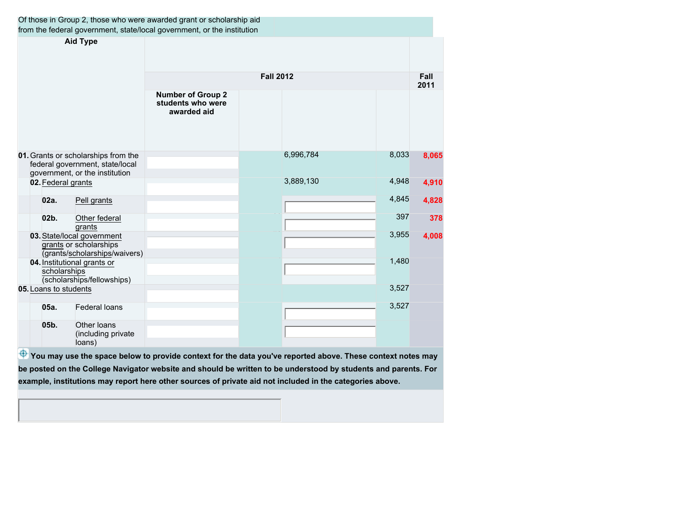|                                                                                                          |                                                                                       | Of those in Group 2, those who were awarded grant or scholarship aid<br>from the federal government, state/local government, or the institution |                  |           |       |              |
|----------------------------------------------------------------------------------------------------------|---------------------------------------------------------------------------------------|-------------------------------------------------------------------------------------------------------------------------------------------------|------------------|-----------|-------|--------------|
| <b>Aid Type</b>                                                                                          |                                                                                       |                                                                                                                                                 |                  |           |       |              |
|                                                                                                          |                                                                                       |                                                                                                                                                 | <b>Fall 2012</b> |           |       | Fall<br>2011 |
|                                                                                                          |                                                                                       | <b>Number of Group 2</b><br>students who were<br>awarded aid                                                                                    |                  |           |       |              |
| 01. Grants or scholarships from the<br>federal government, state/local<br>government, or the institution |                                                                                       |                                                                                                                                                 |                  | 6,996,784 | 8,033 | 8,065        |
| 02. Federal grants                                                                                       |                                                                                       |                                                                                                                                                 |                  | 3,889,130 | 4,948 | 4,910        |
| 02a.                                                                                                     | Pell grants                                                                           |                                                                                                                                                 |                  |           | 4,845 | 4,828        |
| 02b.                                                                                                     | Other federal<br>grants                                                               |                                                                                                                                                 |                  |           | 397   | 378          |
|                                                                                                          | 03. State/local government<br>grants or scholarships<br>(grants/scholarships/waivers) |                                                                                                                                                 |                  |           | 3,955 | 4,008        |
| scholarships                                                                                             | 04. Institutional grants or<br>(scholarships/fellowships)                             |                                                                                                                                                 |                  |           | 1,480 |              |
| 05. Loans to students                                                                                    |                                                                                       |                                                                                                                                                 |                  |           | 3,527 |              |
| 05a.                                                                                                     | <b>Federal loans</b>                                                                  |                                                                                                                                                 |                  |           | 3,527 |              |
| 05b.                                                                                                     | Other loans<br>(including private<br>loans)                                           |                                                                                                                                                 |                  |           |       |              |

 $\overline{\Phi}$  You may use the space below to provide context for the data you've reported above. These context notes may **be posted on the College Navigator website and should be written to be understood by students and parents. For example, institutions may report here other sources of private aid not included in the categories above.**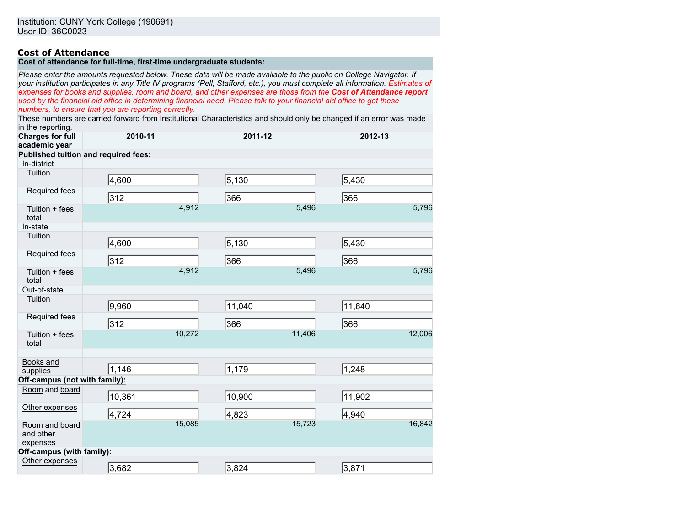### **Cost of Attendance**

# **Cost of attendance for full-time, first-time undergraduate students:**

*Please enter the amounts requested below. These data will be made available to the public on College Navigator. If your institution participates in any Title IV programs (Pell, Stafford, etc.), you must complete all information. Estimates of expenses for books and supplies, room and board, and other expenses are those from the Cost of Attendance report used by the financial aid office in determining financial need. Please talk to your financial aid office to get these numbers, to ensure that you are reporting correctly.*

These numbers are carried forward from Institutional Characteristics and should only be changed if an error was made in the reporting.

| יוייט וטאָטו שווי<br><b>Charges for full</b><br>academic year | 2010-11                              |        | 2011-12 |        | 2012-13 |        |
|---------------------------------------------------------------|--------------------------------------|--------|---------|--------|---------|--------|
|                                                               | Published tuition and required fees: |        |         |        |         |        |
| In-district                                                   |                                      |        |         |        |         |        |
| Tuition                                                       | 4,600                                |        | 5,130   |        | 5,430   |        |
| Required fees                                                 | 312                                  |        | 366     |        | 366     |        |
| Tuition + fees<br>total                                       |                                      | 4,912  |         | 5,496  |         | 5,796  |
| In-state                                                      |                                      |        |         |        |         |        |
| Tuition                                                       | 4,600                                |        | 5,130   |        | 5,430   |        |
| Required fees                                                 | $\overline{312}$                     |        | 366     |        | 366     |        |
| Tuition + fees<br>total                                       |                                      | 4,912  |         | 5,496  |         | 5,796  |
| Out-of-state                                                  |                                      |        |         |        |         |        |
| Tuition                                                       | 9,960                                |        | 11,040  |        | 11,640  |        |
| Required fees                                                 | 312                                  |        | 366     |        | 366     |        |
| Tuition + fees<br>total                                       |                                      | 10,272 |         | 11,406 |         | 12,006 |
| Books and<br>supplies                                         | 1,146                                |        | 1,179   |        | 1,248   |        |
| Off-campus (not with family):                                 |                                      |        |         |        |         |        |
| Room and board                                                | 10,361                               |        | 10,900  |        | 11,902  |        |
| Other expenses                                                | 4,724                                |        | 4,823   |        | 4,940   |        |
| Room and board<br>and other<br>expenses                       |                                      | 15,085 |         | 15,723 |         | 16,842 |
| Off-campus (with family):                                     |                                      |        |         |        |         |        |
| Other expenses                                                | 3,682                                |        | 3,824   |        | 3,871   |        |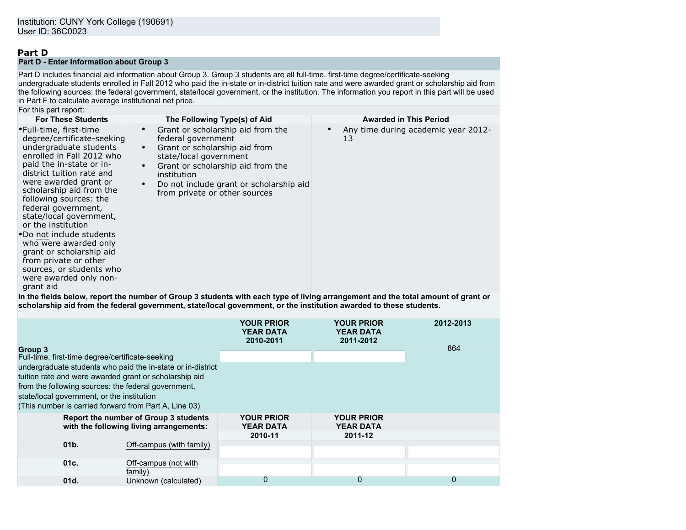# **Part D**

**Part D - Enter Information about Group 3**

Part D includes financial aid information about Group 3. Group 3 students are all full-time, first-time degree/certificate-seeking undergraduate students enrolled in Fall 2012 who paid the in-state or in-district tuition rate and were awarded grant or scholarship aid from the following sources: the federal government, state/local government, or the institution. The information you report in this part will be used in Part F to calculate average institutional net price. For this part report:

| FUI THIS DAIL IBDUIT.                                                                                                                                                                                                                                                                                                                                                                                                                                                                                         |                                                                                                                                                                                                                                                    |                                           |
|---------------------------------------------------------------------------------------------------------------------------------------------------------------------------------------------------------------------------------------------------------------------------------------------------------------------------------------------------------------------------------------------------------------------------------------------------------------------------------------------------------------|----------------------------------------------------------------------------------------------------------------------------------------------------------------------------------------------------------------------------------------------------|-------------------------------------------|
| <b>For These Students</b>                                                                                                                                                                                                                                                                                                                                                                                                                                                                                     | The Following Type(s) of Aid                                                                                                                                                                                                                       | <b>Awarded in This Period</b>             |
| •Full-time, first-time<br>degree/certificate-seeking<br>undergraduate students<br>enrolled in Fall 2012 who<br>paid the in-state or in-<br>district tuition rate and<br>were awarded grant or<br>scholarship aid from the<br>following sources: the<br>federal government,<br>state/local government,<br>or the institution<br>•Do not include students<br>who were awarded only<br>grant or scholarship aid<br>from private or other<br>sources, or students who<br>were awarded only non-<br>grant aid<br>. | Grant or scholarship aid from the<br>federal government<br>Grant or scholarship aid from<br>state/local government<br>Grant or scholarship aid from the<br>institution<br>Do not include grant or scholarship aid<br>from private or other sources | Any time during academic year 2012-<br>13 |

**In the fields below, report the number of Group 3 students with each type of living arrangement and the total amount of grant or scholarship aid from the federal government, state/local government, or the institution awarded to these students.**

|                                                                                  | <b>YOUR PRIOR</b><br><b>YEAR DATA</b><br>2010-2011 | <b>YOUR PRIOR</b><br><b>YEAR DATA</b><br>2011-2012 | 2012-2013 |
|----------------------------------------------------------------------------------|----------------------------------------------------|----------------------------------------------------|-----------|
| Group 3<br>Full-time, first-time degree/certificate-seeking                      |                                                    |                                                    | 864       |
| undergraduate students who paid the in-state or in-district                      |                                                    |                                                    |           |
| tuition rate and were awarded grant or scholarship aid                           |                                                    |                                                    |           |
| from the following sources: the federal government,                              |                                                    |                                                    |           |
| state/local government, or the institution                                       |                                                    |                                                    |           |
| (This number is carried forward from Part A, Line 03)                            |                                                    |                                                    |           |
| Report the number of Group 3 students<br>with the following living arrangements: | <b>YOUR PRIOR</b><br><b>YEAR DATA</b>              | <b>YOUR PRIOR</b><br><b>YEAR DATA</b>              |           |
|                                                                                  | 2010-11                                            | 2011-12                                            |           |
| 01 <sub>b</sub><br>Off-campus (with family)                                      |                                                    |                                                    |           |
| 01c.<br>Off-campus (not with<br>family)                                          |                                                    |                                                    |           |
| 01d.<br>Unknown (calculated)                                                     | 0                                                  | 0                                                  | 0         |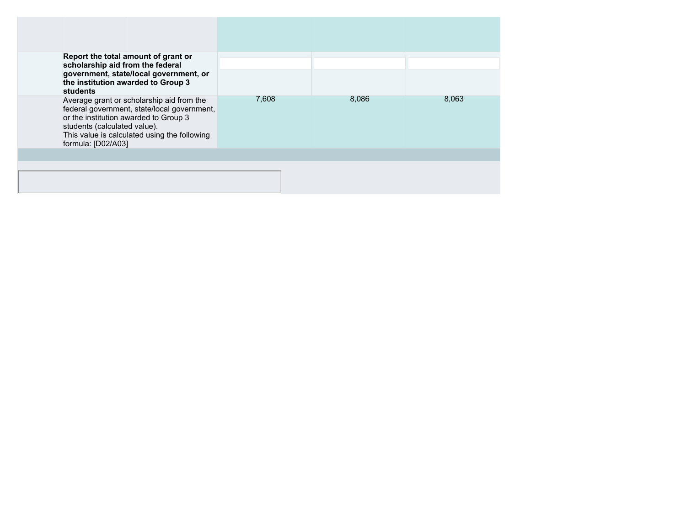| scholarship aid from the federal<br>students       | Report the total amount of grant or<br>government, state/local government, or<br>the institution awarded to Group 3                                                               |       |       |       |
|----------------------------------------------------|-----------------------------------------------------------------------------------------------------------------------------------------------------------------------------------|-------|-------|-------|
| students (calculated value).<br>formula: [D02/A03] | Average grant or scholarship aid from the<br>federal government, state/local government,<br>or the institution awarded to Group 3<br>This value is calculated using the following | 7,608 | 8,086 | 8,063 |
|                                                    |                                                                                                                                                                                   |       |       |       |
|                                                    |                                                                                                                                                                                   |       |       |       |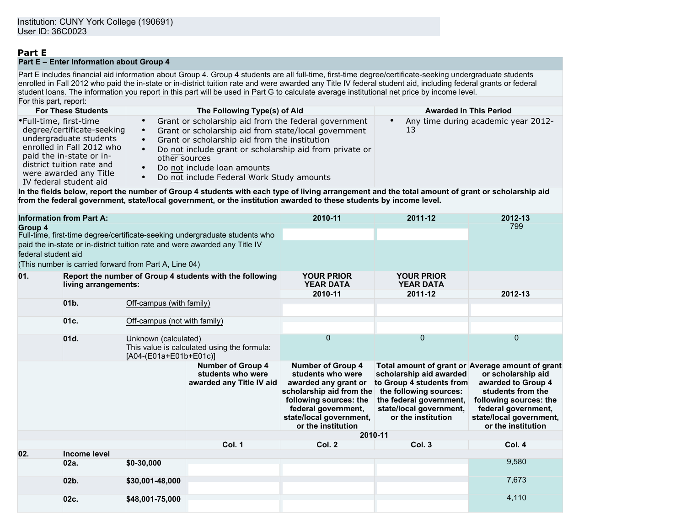# **Part E**

### **Part E – Enter Information about Group 4**

Part E includes financial aid information about Group 4. Group 4 students are all full-time, first-time degree/certificate-seeking undergraduate students enrolled in Fall 2012 who paid the in-state or in-district tuition rate and were awarded any Title IV federal student aid, including federal grants or federal student loans. The information you report in this part will be used in Part G to calculate average institutional net price by income level. For this part, report:

| <b>For These Students</b>                                                                                                                                                                                                | The Following Type(s) of Aid                                                                                                                                                                                                                                                                                                                                              | <b>Awarded in This Period</b>             |
|--------------------------------------------------------------------------------------------------------------------------------------------------------------------------------------------------------------------------|---------------------------------------------------------------------------------------------------------------------------------------------------------------------------------------------------------------------------------------------------------------------------------------------------------------------------------------------------------------------------|-------------------------------------------|
| •Full-time, first-time<br>degree/certificate-seeking<br>undergraduate students<br>enrolled in Fall 2012 who<br>paid the in-state or in-<br>district tuition rate and<br>were awarded any Title<br>IV federal student aid | Grant or scholarship aid from the federal government<br>$\bullet$<br>Grant or scholarship aid from state/local government<br>$\bullet$<br>Grant or scholarship aid from the institution<br>$\bullet$<br>Do not include grant or scholarship aid from private or<br>other sources<br>Do not include loan amounts<br>$\bullet$<br>Do not include Federal Work Study amounts | Any time during academic year 2012-<br>13 |

**In the fields below, report the number of Group 4 students with each type of living arrangement and the total amount of grant or scholarship aid from the federal government, state/local government, or the institution awarded to these students by income level.**

| <b>Information from Part A:</b>                                                        |                                                                                  |                                                       | 2010-11                                                                     | 2011-12                                                                                                                                                                                             | 2012-13                                                                                                                                                                                                       |                                                                                                                                                                 |
|----------------------------------------------------------------------------------------|----------------------------------------------------------------------------------|-------------------------------------------------------|-----------------------------------------------------------------------------|-----------------------------------------------------------------------------------------------------------------------------------------------------------------------------------------------------|---------------------------------------------------------------------------------------------------------------------------------------------------------------------------------------------------------------|-----------------------------------------------------------------------------------------------------------------------------------------------------------------|
| Group 4<br>Full-time, first-time degree/certificate-seeking undergraduate students who |                                                                                  |                                                       |                                                                             |                                                                                                                                                                                                     | 799                                                                                                                                                                                                           |                                                                                                                                                                 |
|                                                                                        |                                                                                  |                                                       | paid the in-state or in-district tuition rate and were awarded any Title IV |                                                                                                                                                                                                     |                                                                                                                                                                                                               |                                                                                                                                                                 |
| federal student aid                                                                    |                                                                                  |                                                       |                                                                             |                                                                                                                                                                                                     |                                                                                                                                                                                                               |                                                                                                                                                                 |
|                                                                                        |                                                                                  | (This number is carried forward from Part A, Line 04) |                                                                             |                                                                                                                                                                                                     |                                                                                                                                                                                                               |                                                                                                                                                                 |
| 01.                                                                                    | Report the number of Group 4 students with the following<br>living arrangements: |                                                       | <b>YOUR PRIOR</b><br><b>YEAR DATA</b>                                       | <b>YOUR PRIOR</b><br><b>YEAR DATA</b>                                                                                                                                                               |                                                                                                                                                                                                               |                                                                                                                                                                 |
|                                                                                        |                                                                                  |                                                       | 2010-11                                                                     | 2011-12                                                                                                                                                                                             | 2012-13                                                                                                                                                                                                       |                                                                                                                                                                 |
|                                                                                        | 01 <sub>b</sub>                                                                  | Off-campus (with family)                              |                                                                             |                                                                                                                                                                                                     |                                                                                                                                                                                                               |                                                                                                                                                                 |
|                                                                                        | 01c.                                                                             | Off-campus (not with family)                          |                                                                             |                                                                                                                                                                                                     |                                                                                                                                                                                                               |                                                                                                                                                                 |
|                                                                                        | 01d.                                                                             | Unknown (calculated)<br>[A04-(E01a+E01b+E01c)]        | This value is calculated using the formula:                                 | $\overline{0}$                                                                                                                                                                                      | 0                                                                                                                                                                                                             | 0                                                                                                                                                               |
|                                                                                        |                                                                                  |                                                       | <b>Number of Group 4</b><br>students who were<br>awarded any Title IV aid   | <b>Number of Group 4</b><br>students who were<br>awarded any grant or<br>scholarship aid from the<br>following sources: the<br>federal government,<br>state/local government,<br>or the institution | Total amount of grant or Average amount of grant<br>scholarship aid awarded<br>to Group 4 students from<br>the following sources:<br>the federal government,<br>state/local government,<br>or the institution | or scholarship aid<br>awarded to Group 4<br>students from the<br>following sources: the<br>federal government,<br>state/local government,<br>or the institution |
|                                                                                        |                                                                                  |                                                       |                                                                             | 2010-11                                                                                                                                                                                             |                                                                                                                                                                                                               |                                                                                                                                                                 |
|                                                                                        |                                                                                  |                                                       | Col. 1                                                                      | Col. 2                                                                                                                                                                                              | Col. 3                                                                                                                                                                                                        | Col. 4                                                                                                                                                          |
| 02.                                                                                    | Income level                                                                     |                                                       |                                                                             |                                                                                                                                                                                                     |                                                                                                                                                                                                               |                                                                                                                                                                 |
|                                                                                        | 02a.                                                                             | $$0-30,000$                                           |                                                                             |                                                                                                                                                                                                     |                                                                                                                                                                                                               | 9,580                                                                                                                                                           |
|                                                                                        | $02b$ .                                                                          | \$30,001-48,000                                       |                                                                             |                                                                                                                                                                                                     |                                                                                                                                                                                                               | 7,673                                                                                                                                                           |
|                                                                                        | 02c.                                                                             | \$48,001-75,000                                       |                                                                             |                                                                                                                                                                                                     |                                                                                                                                                                                                               | 4,110                                                                                                                                                           |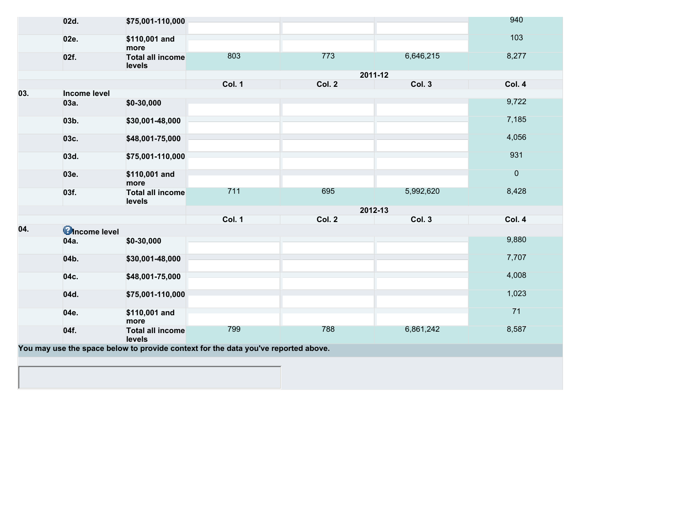|     | 02d.                  | \$75,001-110,000                                                                   |               |        |           | 940            |
|-----|-----------------------|------------------------------------------------------------------------------------|---------------|--------|-----------|----------------|
|     | 02e.                  | \$110,001 and<br>more                                                              |               |        |           | 103            |
|     | 02f.                  | <b>Total all income</b><br>levels                                                  | 803           | 773    | 6,646,215 | 8,277          |
|     |                       |                                                                                    |               |        | 2011-12   |                |
|     |                       |                                                                                    | <b>Col. 1</b> | Col. 2 | Col. 3    | Col. 4         |
| 03. | Income level          |                                                                                    |               |        |           |                |
|     | 03a.                  | \$0-30,000                                                                         |               |        |           | 9,722          |
|     | 03b.                  | \$30,001-48,000                                                                    |               |        |           | 7,185          |
|     | 03c.                  | \$48,001-75,000                                                                    |               |        |           | 4,056          |
|     | 03d.                  | \$75,001-110,000                                                                   |               |        |           | 931            |
|     | 03e.                  | \$110,001 and<br>more                                                              |               |        |           | $\overline{0}$ |
|     | 03f.                  | <b>Total all income</b><br>levels                                                  | 711           | 695    | 5,992,620 | 8,428          |
|     |                       |                                                                                    |               |        | 2012-13   |                |
|     |                       |                                                                                    | <b>Col. 1</b> | Col. 2 | Col. 3    | Col. 4         |
| 04. | <b>C</b> Income level |                                                                                    |               |        |           |                |
|     | 04a.                  | \$0-30,000                                                                         |               |        |           | 9,880          |
|     | 04b.                  | \$30,001-48,000                                                                    |               |        |           | 7,707          |
|     | 04c.                  | \$48,001-75,000                                                                    |               |        |           | 4,008          |
|     | 04d.                  | \$75,001-110,000                                                                   |               |        |           | 1,023          |
|     | 04e.                  | \$110,001 and<br>more                                                              |               |        |           | 71             |
|     | 04f.                  | <b>Total all income</b><br>levels                                                  | 799           | 788    | 6,861,242 | 8,587          |
|     |                       | You may use the space below to provide context for the data you've reported above. |               |        |           |                |
|     |                       |                                                                                    |               |        |           |                |
|     |                       |                                                                                    |               |        |           |                |
|     |                       |                                                                                    |               |        |           |                |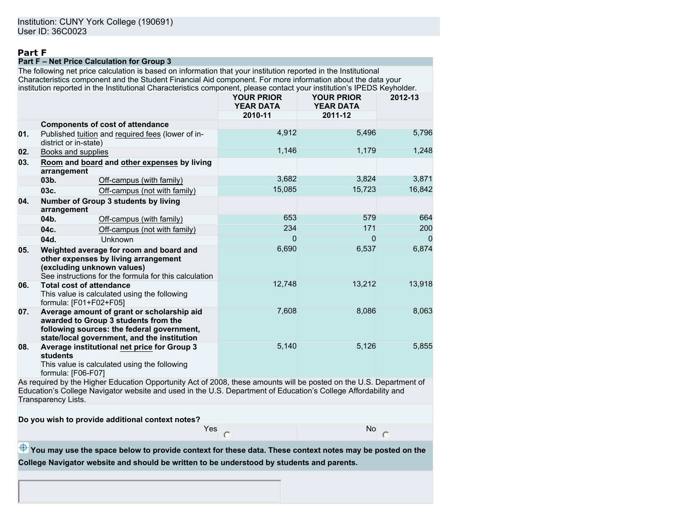## **Part F**

### **Part F – Net Price Calculation for Group 3**

The following net price calculation is based on information that your institution reported in the Institutional Characteristics component and the Student Financial Aid component. For more information about the data your institution reported in the Institutional Characteristics component, please contact your institution's IPEDS Keyholder.

|     |                                                           |                                                                                                                                                                                 | <b>YOUR PRIOR</b><br><b>YEAR DATA</b> | <b>YOUR PRIOR</b><br><b>YEAR DATA</b> | 2012-13        |
|-----|-----------------------------------------------------------|---------------------------------------------------------------------------------------------------------------------------------------------------------------------------------|---------------------------------------|---------------------------------------|----------------|
|     |                                                           |                                                                                                                                                                                 | 2010-11                               | 2011-12                               |                |
|     |                                                           | <b>Components of cost of attendance</b>                                                                                                                                         |                                       |                                       |                |
| 01. | district or in-state)                                     | Published tuition and required fees (lower of in-                                                                                                                               | 4,912                                 | 5,496                                 | 5,796          |
| 02. | Books and supplies                                        |                                                                                                                                                                                 | 1,146                                 | 1,179                                 | 1,248          |
| 03. | arrangement                                               | Room and board and other expenses by living                                                                                                                                     |                                       |                                       |                |
|     | 03 <sub>b</sub>                                           | Off-campus (with family)                                                                                                                                                        | 3,682                                 | 3,824                                 | 3,871          |
|     | 03c.                                                      | Off-campus (not with family)                                                                                                                                                    | 15,085                                | 15,723                                | 16,842         |
| 04. | arrangement                                               | Number of Group 3 students by living                                                                                                                                            |                                       |                                       |                |
|     | 04b.                                                      | Off-campus (with family)                                                                                                                                                        | 653                                   | 579                                   | 664            |
|     | 04c.                                                      | Off-campus (not with family)                                                                                                                                                    | 234                                   | 171                                   | 200            |
|     | 04d.                                                      | <b>Unknown</b>                                                                                                                                                                  | $\Omega$                              | 0                                     | $\overline{0}$ |
| 05. |                                                           | Weighted average for room and board and<br>other expenses by living arrangement<br>(excluding unknown values)<br>See instructions for the formula for this calculation          | 6,690                                 | 6,537                                 | 6,874          |
| 06. | <b>Total cost of attendance</b><br>formula: [F01+F02+F05] | This value is calculated using the following                                                                                                                                    | 12.748                                | 13,212                                | 13,918         |
| 07. |                                                           | Average amount of grant or scholarship aid<br>awarded to Group 3 students from the<br>following sources: the federal government,<br>state/local government, and the institution | 7,608                                 | 8,086                                 | 8,063          |
| 08. | students<br>formula: [F06-F07]                            | Average institutional net price for Group 3<br>This value is calculated using the following                                                                                     | 5,140                                 | 5,126                                 | 5,855          |

As required by the Higher Education Opportunity Act of 2008, these amounts will be posted on the U.S. Department of Education's College Navigator website and used in the U.S. Department of Education's College Affordability and Transparency Lists.

**Do you wish to provide additional context notes?**

Yes No. 2014. In the North State of the North State of the North State of the North State of the North State o

**<sup>4</sup>** You may use the space below to provide context for these data. These context notes may be posted on the **College Navigator website and should be written to be understood by students and parents.**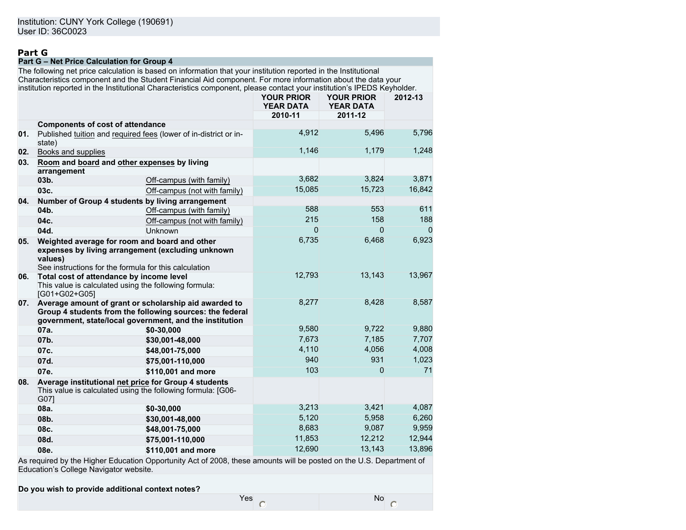# **Part G**

### **Part G – Net Price Calculation for Group 4**

The following net price calculation is based on information that your institution reported in the Institutional Characteristics component and the Student Financial Aid component. For more information about the data your institution reported in the Institutional Characteristics component, please contact your institution's IPEDS Keyholder.

|     |                                                            |                                                                                                                                                                              | <b>YOUR PRIOR</b><br><b>YEAR DATA</b> | <b>YOUR PRIOR</b><br><b>YEAR DATA</b> | 2012-13        |
|-----|------------------------------------------------------------|------------------------------------------------------------------------------------------------------------------------------------------------------------------------------|---------------------------------------|---------------------------------------|----------------|
|     |                                                            |                                                                                                                                                                              | 2010-11                               | 2011-12                               |                |
|     | <b>Components of cost of attendance</b>                    |                                                                                                                                                                              |                                       |                                       |                |
| 01. | state)                                                     | Published tuition and required fees (lower of in-district or in-                                                                                                             | 4,912                                 | 5,496                                 | 5,796          |
| 02. | Books and supplies                                         |                                                                                                                                                                              | 1,146                                 | 1,179                                 | 1,248          |
| 03. | Room and board and other expenses by living<br>arrangement |                                                                                                                                                                              |                                       |                                       |                |
|     | 03b.                                                       | Off-campus (with family)                                                                                                                                                     | 3,682                                 | 3,824                                 | 3,871          |
|     | 03c.                                                       | Off-campus (not with family)                                                                                                                                                 | 15,085                                | 15,723                                | 16,842         |
| 04. |                                                            | Number of Group 4 students by living arrangement                                                                                                                             |                                       |                                       |                |
|     | $04b$ .                                                    | Off-campus (with family)                                                                                                                                                     | 588                                   | 553                                   | 611            |
|     | 04c.                                                       | Off-campus (not with family)                                                                                                                                                 | 215                                   | 158                                   | 188            |
|     | 04d.                                                       | Unknown                                                                                                                                                                      | $\Omega$                              | $\Omega$                              | $\overline{0}$ |
| 05. | values)                                                    | Weighted average for room and board and other<br>expenses by living arrangement (excluding unknown<br>See instructions for the formula for this calculation                  | 6,735                                 | 6,468                                 | 6,923          |
| 06. | Total cost of attendance by income level<br>[G01+G02+G05]  | This value is calculated using the following formula:                                                                                                                        | 12,793                                | 13,143                                | 13,967         |
| 07. |                                                            | Average amount of grant or scholarship aid awarded to<br>Group 4 students from the following sources: the federal<br>government, state/local government, and the institution | 8,277                                 | 8,428                                 | 8,587          |
|     | 07a.                                                       | \$0-30,000                                                                                                                                                                   | 9,580                                 | 9,722                                 | 9,880          |
|     | 07b.                                                       | \$30,001-48,000                                                                                                                                                              | 7.673                                 | 7.185                                 | 7,707          |
|     | 07c.                                                       | \$48,001-75,000                                                                                                                                                              | 4,110                                 | 4,056                                 | 4,008          |
|     | 07d.                                                       | \$75,001-110,000                                                                                                                                                             | 940                                   | 931                                   | 1,023          |
|     | 07e.                                                       | \$110,001 and more                                                                                                                                                           | 103                                   | $\Omega$                              | 71             |
| 08. | G07]                                                       | Average institutional net price for Group 4 students<br>This value is calculated using the following formula: [G06-                                                          |                                       |                                       |                |
|     | 08a.                                                       | \$0-30,000                                                                                                                                                                   | 3,213                                 | 3,421                                 | 4,087          |
|     | 08b.                                                       | \$30,001-48,000                                                                                                                                                              | 5,120                                 | 5,958                                 | 6,260          |
|     | 08c.                                                       | \$48,001-75,000                                                                                                                                                              | 8,683                                 | 9,087                                 | 9,959          |
|     | 08d.                                                       | \$75,001-110,000                                                                                                                                                             | 11,853                                | 12,212                                | 12,944         |
|     | 08e.                                                       | \$110,001 and more                                                                                                                                                           | 12,690                                | 13,143                                | 13,896         |
|     |                                                            | As required by the Higher Education Opportunity Act of 2008, these amounts will be posted on the U.S. Department of                                                          |                                       |                                       |                |

Education's College Navigator website.

**Do you wish to provide additional context notes?**

 $Yes \n\qquad \qquad No$ 

 $\circ$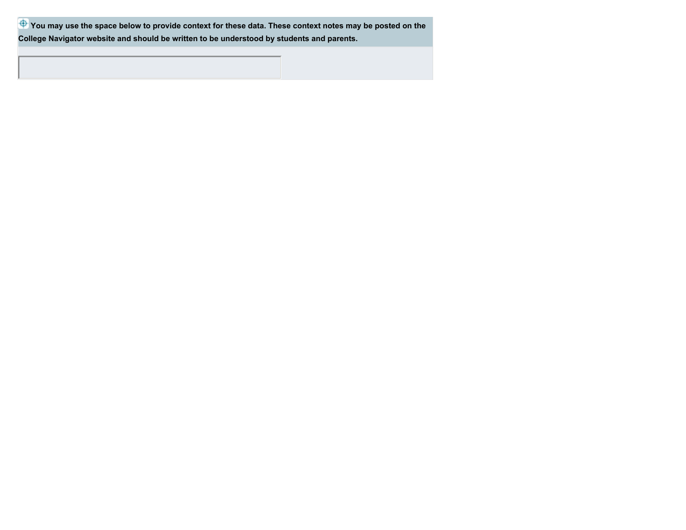**P** You may use the space below to provide context for these data. These context notes may be posted on the **College Navigator website and should be written to be understood by students and parents.**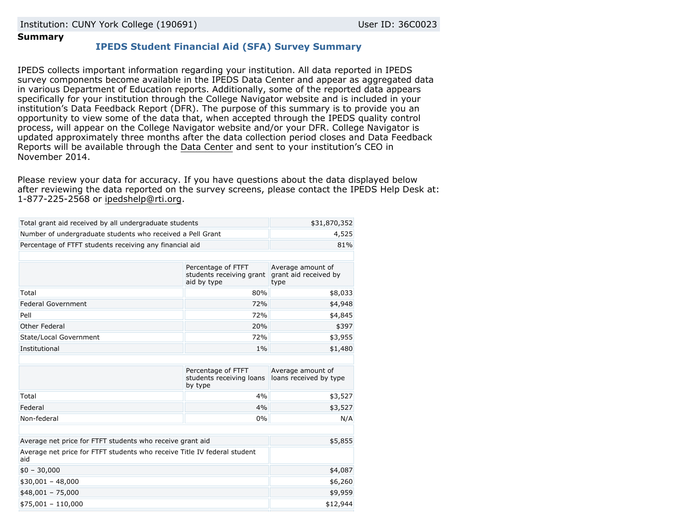Institution: CUNY York College (190691) User ID: 36C0023

### **Summary**

## **IPEDS Student Financial Aid (SFA) Survey Summary**

IPEDS collects important information regarding your institution. All data reported in IPEDS survey components become available in the IPEDS Data Center and appear as aggregated data in various Department of Education reports. Additionally, some of the reported data appears specifically for your institution through the College Navigator website and is included in your institution's Data Feedback Report (DFR). The purpose of this summary is to provide you an opportunity to view some of the data that, when accepted through the IPEDS quality control process, will appear on the College Navigator website and/or your DFR. College Navigator is updated approximately three months after the data collection period closes and Data Feedback Reports will be available through the [Data Center](http://nces.ed.gov/ipeds/datacenter/) and sent to your institution's CEO in November 2014.

Please review your data for accuracy. If you have questions about the data displayed below after reviewing the data reported on the survey screens, please contact the IPEDS Help Desk at: 1-877-225-2568 or [ipedshelp@rti.org.](mailto:ipedshelp@rti.org)

| Total grant aid received by all undergraduate students                          | \$31,870,352                                                  |                                                    |
|---------------------------------------------------------------------------------|---------------------------------------------------------------|----------------------------------------------------|
| Number of undergraduate students who received a Pell Grant                      | 4,525                                                         |                                                    |
| Percentage of FTFT students receiving any financial aid                         | 81%                                                           |                                                    |
|                                                                                 |                                                               |                                                    |
|                                                                                 | Percentage of FTFT<br>students receiving grant<br>aid by type | Average amount of<br>grant aid received by<br>type |
| Total                                                                           | 80%                                                           | \$8,033                                            |
| <b>Federal Government</b>                                                       | 72%                                                           | \$4,948                                            |
| Pell                                                                            | 72%                                                           | \$4,845                                            |
| Other Federal                                                                   | 20%                                                           | \$397                                              |
| State/Local Government                                                          | 72%                                                           | \$3,955                                            |
| Institutional                                                                   | \$1,480                                                       |                                                    |
|                                                                                 |                                                               |                                                    |
|                                                                                 | Percentage of FTFT<br>students receiving loans<br>by type     | Average amount of<br>loans received by type        |
| Total                                                                           | 4%                                                            | \$3,527                                            |
| Federal                                                                         | 4%                                                            | \$3,527                                            |
| Non-federal                                                                     | 0%                                                            | N/A                                                |
|                                                                                 |                                                               |                                                    |
| Average net price for FTFT students who receive grant aid                       | \$5,855                                                       |                                                    |
| Average net price for FTFT students who receive Title IV federal student<br>aid |                                                               |                                                    |
| $$0 - 30,000$                                                                   | \$4,087                                                       |                                                    |
| $$30,001 - 48,000$                                                              | \$6,260                                                       |                                                    |
| $$48,001 - 75,000$                                                              | \$9,959                                                       |                                                    |
| $$75,001 - 110,000$                                                             | \$12,944                                                      |                                                    |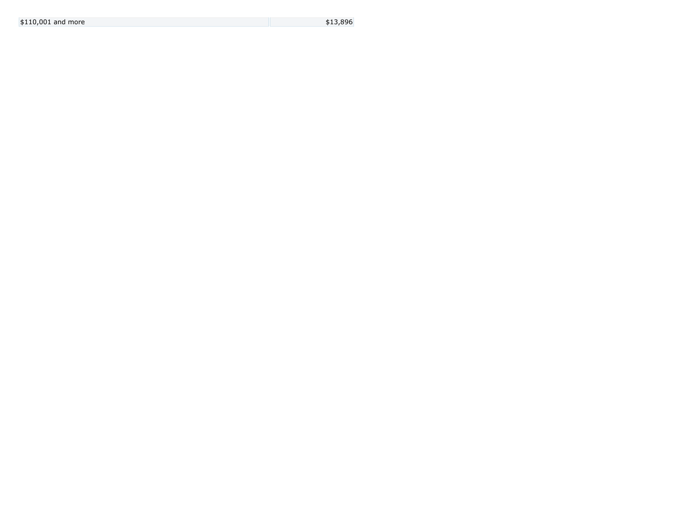| $$110,001$ and more |  |
|---------------------|--|
|---------------------|--|